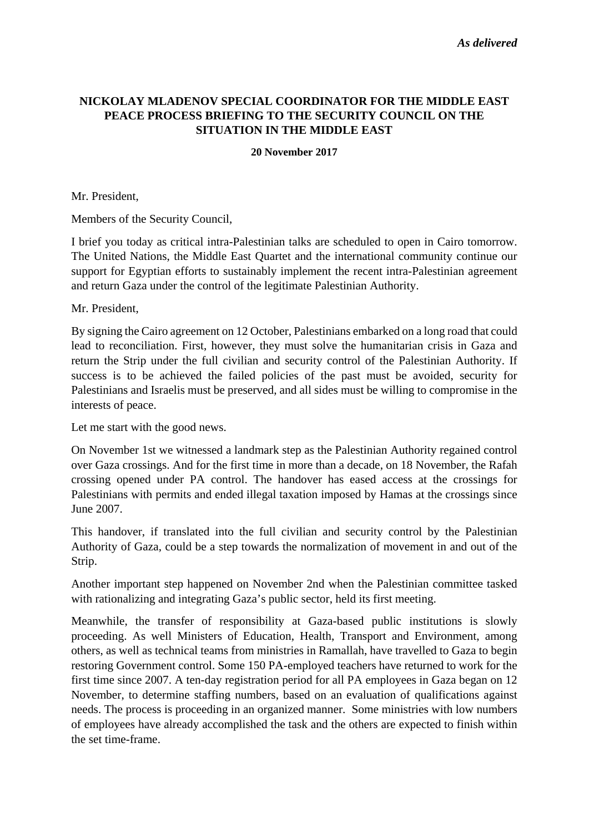## **NICKOLAY MLADENOV SPECIAL COORDINATOR FOR THE MIDDLE EAST PEACE PROCESS BRIEFING TO THE SECURITY COUNCIL ON THE SITUATION IN THE MIDDLE EAST**

## **20 November 2017**

Mr. President,

Members of the Security Council,

I brief you today as critical intra-Palestinian talks are scheduled to open in Cairo tomorrow. The United Nations, the Middle East Quartet and the international community continue our support for Egyptian efforts to sustainably implement the recent intra-Palestinian agreement and return Gaza under the control of the legitimate Palestinian Authority.

Mr. President,

By signing the Cairo agreement on 12 October, Palestinians embarked on a long road that could lead to reconciliation. First, however, they must solve the humanitarian crisis in Gaza and return the Strip under the full civilian and security control of the Palestinian Authority. If success is to be achieved the failed policies of the past must be avoided, security for Palestinians and Israelis must be preserved, and all sides must be willing to compromise in the interests of peace.

Let me start with the good news.

On November 1st we witnessed a landmark step as the Palestinian Authority regained control over Gaza crossings. And for the first time in more than a decade, on 18 November, the Rafah crossing opened under PA control. The handover has eased access at the crossings for Palestinians with permits and ended illegal taxation imposed by Hamas at the crossings since June 2007.

This handover, if translated into the full civilian and security control by the Palestinian Authority of Gaza, could be a step towards the normalization of movement in and out of the Strip.

Another important step happened on November 2nd when the Palestinian committee tasked with rationalizing and integrating Gaza's public sector, held its first meeting.

Meanwhile, the transfer of responsibility at Gaza-based public institutions is slowly proceeding. As well Ministers of Education, Health, Transport and Environment, among others, as well as technical teams from ministries in Ramallah, have travelled to Gaza to begin restoring Government control. Some 150 PA-employed teachers have returned to work for the first time since 2007. A ten-day registration period for all PA employees in Gaza began on 12 November, to determine staffing numbers, based on an evaluation of qualifications against needs. The process is proceeding in an organized manner. Some ministries with low numbers of employees have already accomplished the task and the others are expected to finish within the set time-frame.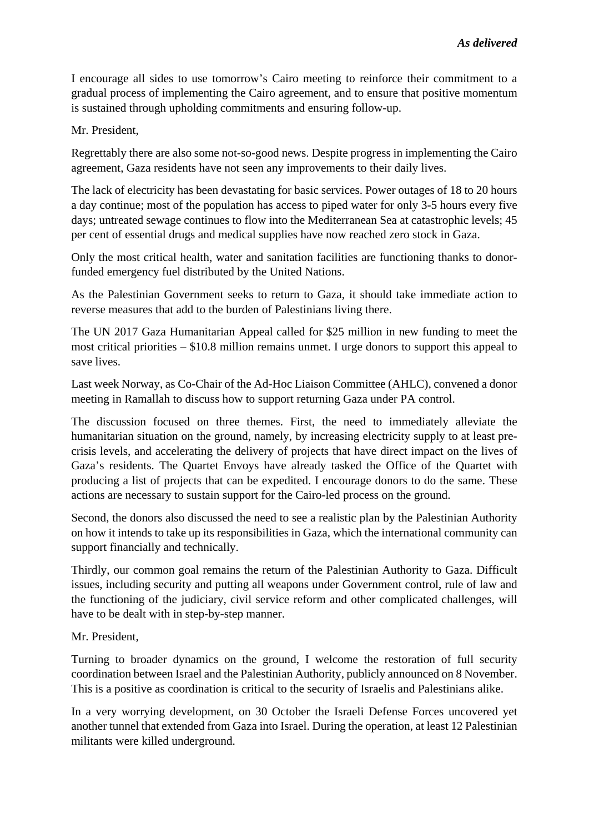I encourage all sides to use tomorrow's Cairo meeting to reinforce their commitment to a gradual process of implementing the Cairo agreement, and to ensure that positive momentum is sustained through upholding commitments and ensuring follow-up.

Mr. President,

Regrettably there are also some not-so-good news. Despite progress in implementing the Cairo agreement, Gaza residents have not seen any improvements to their daily lives.

The lack of electricity has been devastating for basic services. Power outages of 18 to 20 hours a day continue; most of the population has access to piped water for only 3-5 hours every five days; untreated sewage continues to flow into the Mediterranean Sea at catastrophic levels; 45 per cent of essential drugs and medical supplies have now reached zero stock in Gaza.

Only the most critical health, water and sanitation facilities are functioning thanks to donorfunded emergency fuel distributed by the United Nations.

As the Palestinian Government seeks to return to Gaza, it should take immediate action to reverse measures that add to the burden of Palestinians living there.

The UN 2017 Gaza Humanitarian Appeal called for \$25 million in new funding to meet the most critical priorities – \$10.8 million remains unmet. I urge donors to support this appeal to save lives.

Last week Norway, as Co-Chair of the Ad-Hoc Liaison Committee (AHLC), convened a donor meeting in Ramallah to discuss how to support returning Gaza under PA control.

The discussion focused on three themes. First, the need to immediately alleviate the humanitarian situation on the ground, namely, by increasing electricity supply to at least precrisis levels, and accelerating the delivery of projects that have direct impact on the lives of Gaza's residents. The Quartet Envoys have already tasked the Office of the Quartet with producing a list of projects that can be expedited. I encourage donors to do the same. These actions are necessary to sustain support for the Cairo-led process on the ground.

Second, the donors also discussed the need to see a realistic plan by the Palestinian Authority on how it intends to take up its responsibilities in Gaza, which the international community can support financially and technically.

Thirdly, our common goal remains the return of the Palestinian Authority to Gaza. Difficult issues, including security and putting all weapons under Government control, rule of law and the functioning of the judiciary, civil service reform and other complicated challenges, will have to be dealt with in step-by-step manner.

Mr. President,

Turning to broader dynamics on the ground, I welcome the restoration of full security coordination between Israel and the Palestinian Authority, publicly announced on 8 November. This is a positive as coordination is critical to the security of Israelis and Palestinians alike.

In a very worrying development, on 30 October the Israeli Defense Forces uncovered yet another tunnel that extended from Gaza into Israel. During the operation, at least 12 Palestinian militants were killed underground.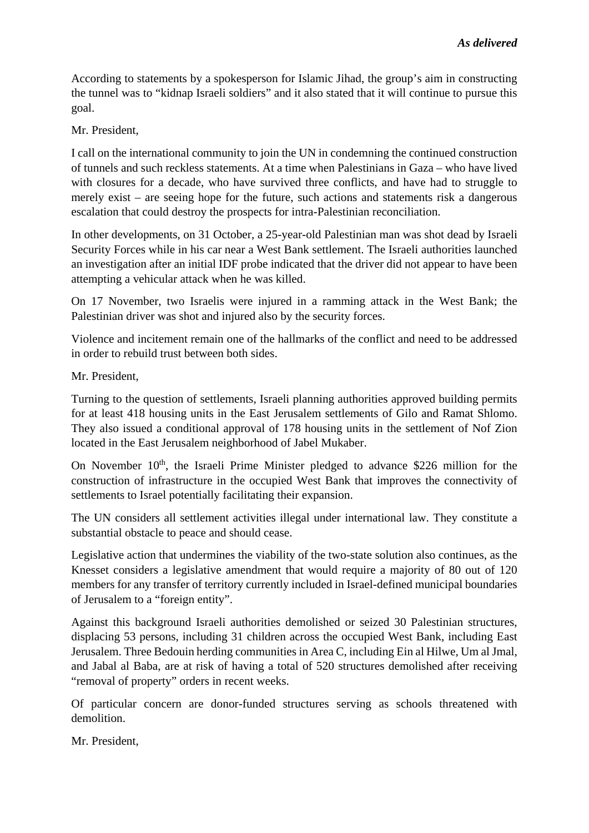According to statements by a spokesperson for Islamic Jihad, the group's aim in constructing the tunnel was to "kidnap Israeli soldiers" and it also stated that it will continue to pursue this goal.

Mr. President,

I call on the international community to join the UN in condemning the continued construction of tunnels and such reckless statements. At a time when Palestinians in Gaza – who have lived with closures for a decade, who have survived three conflicts, and have had to struggle to merely exist – are seeing hope for the future, such actions and statements risk a dangerous escalation that could destroy the prospects for intra-Palestinian reconciliation.

In other developments, on 31 October, a 25-year-old Palestinian man was shot dead by Israeli Security Forces while in his car near a West Bank settlement. The Israeli authorities launched an investigation after an initial IDF probe indicated that the driver did not appear to have been attempting a vehicular attack when he was killed.

On 17 November, two Israelis were injured in a ramming attack in the West Bank; the Palestinian driver was shot and injured also by the security forces.

Violence and incitement remain one of the hallmarks of the conflict and need to be addressed in order to rebuild trust between both sides.

Mr. President,

Turning to the question of settlements, Israeli planning authorities approved building permits for at least 418 housing units in the East Jerusalem settlements of Gilo and Ramat Shlomo. They also issued a conditional approval of 178 housing units in the settlement of Nof Zion located in the East Jerusalem neighborhood of Jabel Mukaber.

On November 10<sup>th</sup>, the Israeli Prime Minister pledged to advance \$226 million for the construction of infrastructure in the occupied West Bank that improves the connectivity of settlements to Israel potentially facilitating their expansion.

The UN considers all settlement activities illegal under international law. They constitute a substantial obstacle to peace and should cease.

Legislative action that undermines the viability of the two-state solution also continues, as the Knesset considers a legislative amendment that would require a majority of 80 out of 120 members for any transfer of territory currently included in Israel-defined municipal boundaries of Jerusalem to a "foreign entity".

Against this background Israeli authorities demolished or seized 30 Palestinian structures, displacing 53 persons, including 31 children across the occupied West Bank, including East Jerusalem. Three Bedouin herding communities in Area C, including Ein al Hilwe, Um al Jmal, and Jabal al Baba, are at risk of having a total of 520 structures demolished after receiving "removal of property" orders in recent weeks.

Of particular concern are donor-funded structures serving as schools threatened with demolition.

Mr. President,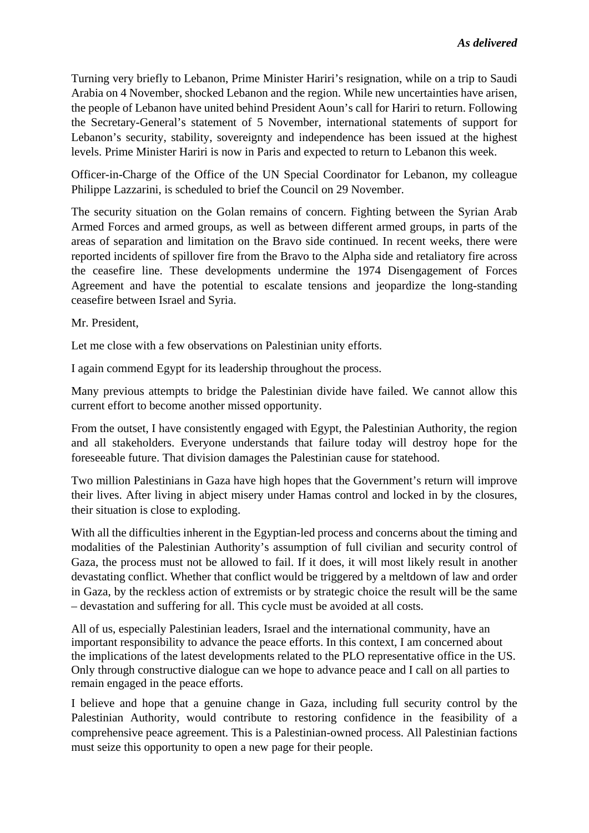Turning very briefly to Lebanon, Prime Minister Hariri's resignation, while on a trip to Saudi Arabia on 4 November, shocked Lebanon and the region. While new uncertainties have arisen, the people of Lebanon have united behind President Aoun's call for Hariri to return. Following the Secretary-General's statement of 5 November, international statements of support for Lebanon's security, stability, sovereignty and independence has been issued at the highest levels. Prime Minister Hariri is now in Paris and expected to return to Lebanon this week.

Officer-in-Charge of the Office of the UN Special Coordinator for Lebanon, my colleague Philippe Lazzarini, is scheduled to brief the Council on 29 November.

The security situation on the Golan remains of concern. Fighting between the Syrian Arab Armed Forces and armed groups, as well as between different armed groups, in parts of the areas of separation and limitation on the Bravo side continued. In recent weeks, there were reported incidents of spillover fire from the Bravo to the Alpha side and retaliatory fire across the ceasefire line. These developments undermine the 1974 Disengagement of Forces Agreement and have the potential to escalate tensions and jeopardize the long-standing ceasefire between Israel and Syria.

Mr. President,

Let me close with a few observations on Palestinian unity efforts.

I again commend Egypt for its leadership throughout the process.

Many previous attempts to bridge the Palestinian divide have failed. We cannot allow this current effort to become another missed opportunity.

From the outset, I have consistently engaged with Egypt, the Palestinian Authority, the region and all stakeholders. Everyone understands that failure today will destroy hope for the foreseeable future. That division damages the Palestinian cause for statehood.

Two million Palestinians in Gaza have high hopes that the Government's return will improve their lives. After living in abject misery under Hamas control and locked in by the closures, their situation is close to exploding.

With all the difficulties inherent in the Egyptian-led process and concerns about the timing and modalities of the Palestinian Authority's assumption of full civilian and security control of Gaza, the process must not be allowed to fail. If it does, it will most likely result in another devastating conflict. Whether that conflict would be triggered by a meltdown of law and order in Gaza, by the reckless action of extremists or by strategic choice the result will be the same – devastation and suffering for all. This cycle must be avoided at all costs.

All of us, especially Palestinian leaders, Israel and the international community, have an important responsibility to advance the peace efforts. In this context, I am concerned about the implications of the latest developments related to the PLO representative office in the US. Only through constructive dialogue can we hope to advance peace and I call on all parties to remain engaged in the peace efforts.

I believe and hope that a genuine change in Gaza, including full security control by the Palestinian Authority, would contribute to restoring confidence in the feasibility of a comprehensive peace agreement. This is a Palestinian-owned process. All Palestinian factions must seize this opportunity to open a new page for their people.